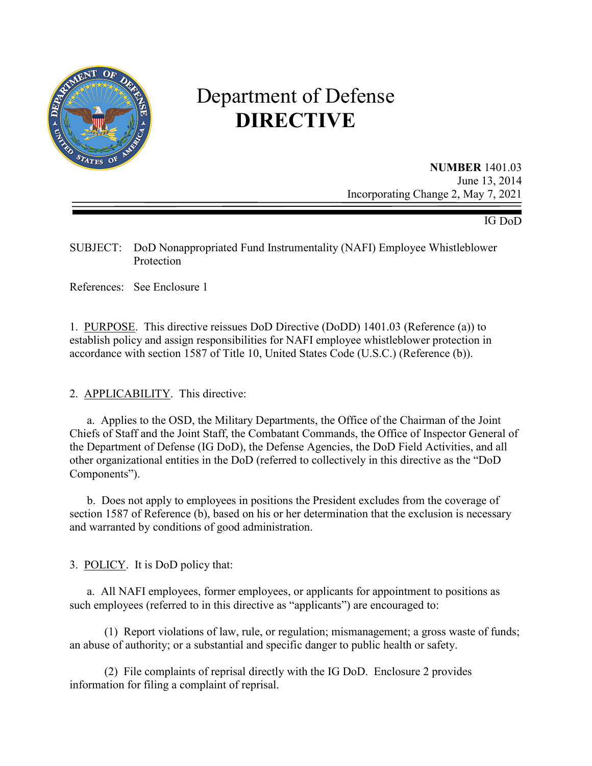

# Department of Defense **DIRECTIVE**

**NUMBER** 1401.03 June 13, 2014 Incorporating Change 2, May 7, 2021

IG DoD

SUBJECT: DoD Nonappropriated Fund Instrumentality (NAFI) Employee Whistleblower Protection

References: See Enclosure 1

1. PURPOSE. This directive reissues DoD Directive (DoDD) 1401.03 (Reference (a)) to establish policy and assign responsibilities for NAFI employee whistleblower protection in accordance with section 1587 of Title 10, United States Code (U.S.C.) (Reference (b)).

2. APPLICABILITY. This directive:

a. Applies to the OSD, the Military Departments, the Office of the Chairman of the Joint Chiefs of Staff and the Joint Staff, the Combatant Commands, the Office of Inspector General of the Department of Defense (IG DoD), the Defense Agencies, the DoD Field Activities, and all other organizational entities in the DoD (referred to collectively in this directive as the "DoD Components").

b. Does not apply to employees in positions the President excludes from the coverage of section 1587 of Reference (b), based on his or her determination that the exclusion is necessary and warranted by conditions of good administration.

3. POLICY. It is DoD policy that:

a. All NAFI employees, former employees, or applicants for appointment to positions as such employees (referred to in this directive as "applicants") are encouraged to:

(1) Report violations of law, rule, or regulation; mismanagement; a gross waste of funds; an abuse of authority; or a substantial and specific danger to public health or safety.

(2) File complaints of reprisal directly with the IG DoD. Enclosure 2 provides information for filing a complaint of reprisal.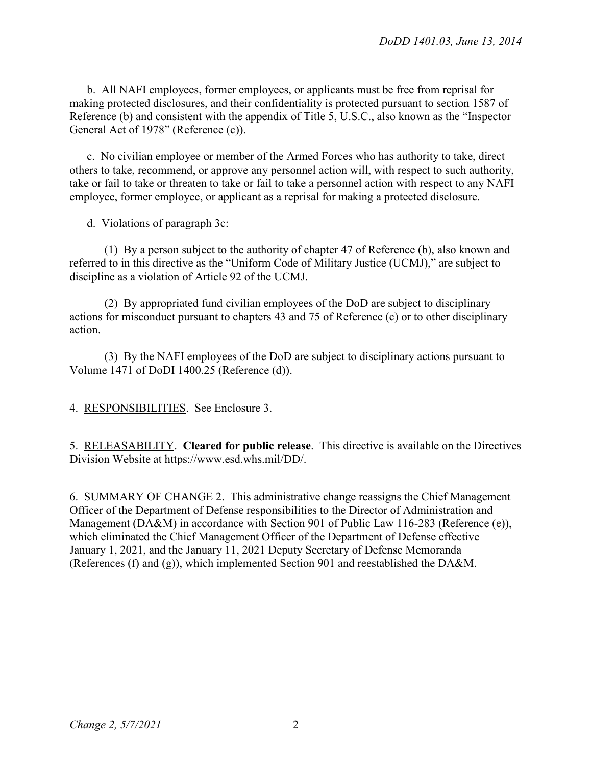b. All NAFI employees, former employees, or applicants must be free from reprisal for making protected disclosures, and their confidentiality is protected pursuant to section 1587 of Reference (b) and consistent with the appendix of Title 5, U.S.C., also known as the "Inspector General Act of 1978" (Reference (c)).

c. No civilian employee or member of the Armed Forces who has authority to take, direct others to take, recommend, or approve any personnel action will, with respect to such authority, take or fail to take or threaten to take or fail to take a personnel action with respect to any NAFI employee, former employee, or applicant as a reprisal for making a protected disclosure.

d. Violations of paragraph 3c:

(1) By a person subject to the authority of chapter 47 of Reference (b), also known and referred to in this directive as the "Uniform Code of Military Justice (UCMJ)," are subject to discipline as a violation of Article 92 of the UCMJ.

(2) By appropriated fund civilian employees of the DoD are subject to disciplinary actions for misconduct pursuant to chapters 43 and 75 of Reference (c) or to other disciplinary action.

(3) By the NAFI employees of the DoD are subject to disciplinary actions pursuant to Volume 1471 of DoDI 1400.25 (Reference (d)).

4. RESPONSIBILITIES. See Enclosure 3.

5. RELEASABILITY. **Cleared for public release**. This directive is available on the Directives Division Website at https://www.esd.whs.mil/DD/.

6. SUMMARY OF CHANGE 2. This administrative change reassigns the Chief Management Officer of the Department of Defense responsibilities to the Director of Administration and Management (DA&M) in accordance with Section 901 of Public Law 116-283 (Reference (e)), which eliminated the Chief Management Officer of the Department of Defense effective January 1, 2021, and the January 11, 2021 Deputy Secretary of Defense Memoranda (References (f) and (g)), which implemented Section 901 and reestablished the DA&M.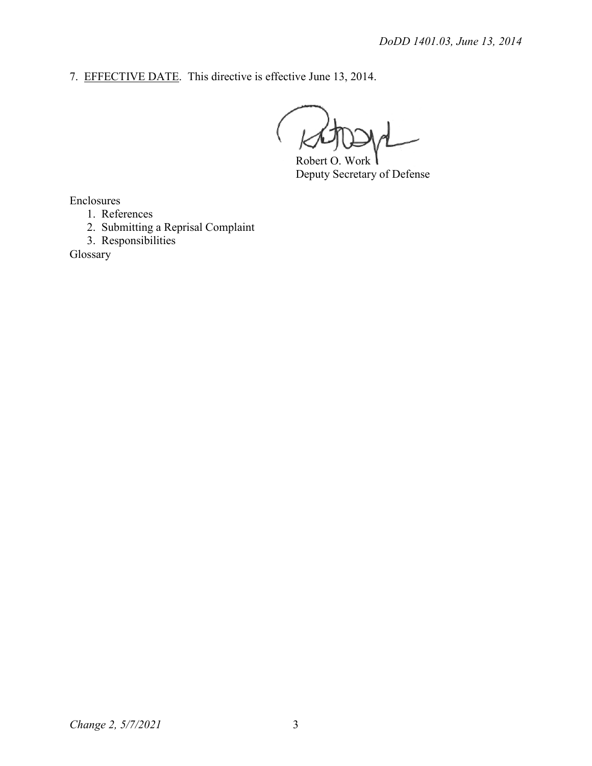7. EFFECTIVE DATE. This directive is effective June 13, 2014.

Robert O. Work Deputy Secretary of Defense

Enclosures

- 1. References
- 2. Submitting a Reprisal Complaint
- 3. Responsibilities

Glossary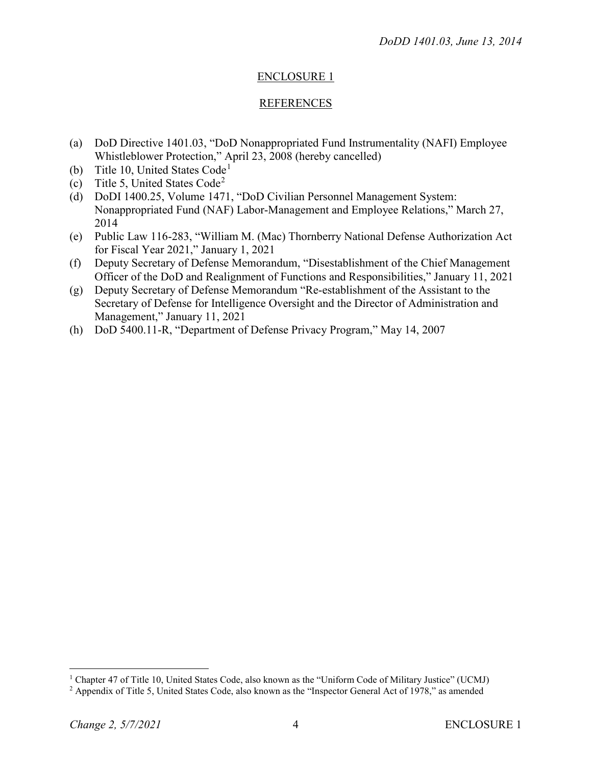## ENCLOSURE 1

## REFERENCES

- (a) DoD Directive 1401.03, "DoD Nonappropriated Fund Instrumentality (NAFI) Employee Whistleblower Protection," April 23, 2008 (hereby cancelled)
- (b) Title [1](#page-3-0)0, United States Code<sup>1</sup>
- (c) Title 5, United States Code[2](#page-3-1)
- (d) DoDI 1400.25, Volume 1471, "DoD Civilian Personnel Management System: Nonappropriated Fund (NAF) Labor-Management and Employee Relations," March 27, 2014
- (e) Public Law 116-283, "William M. (Mac) Thornberry National Defense Authorization Act for Fiscal Year 2021," January 1, 2021
- (f) Deputy Secretary of Defense Memorandum, "Disestablishment of the Chief Management Officer of the DoD and Realignment of Functions and Responsibilities," January 11, 2021
- (g) Deputy Secretary of Defense Memorandum "Re-establishment of the Assistant to the Secretary of Defense for Intelligence Oversight and the Director of Administration and Management," January 11, 2021
- (h) DoD 5400.11-R, "Department of Defense Privacy Program," May 14, 2007

<span id="page-3-0"></span><sup>&</sup>lt;sup>1</sup> Chapter 47 of Title 10, United States Code, also known as the "Uniform Code of Military Justice" (UCMJ)

<span id="page-3-1"></span><sup>2</sup> Appendix of Title 5, United States Code, also known as the "Inspector General Act of 1978," as amended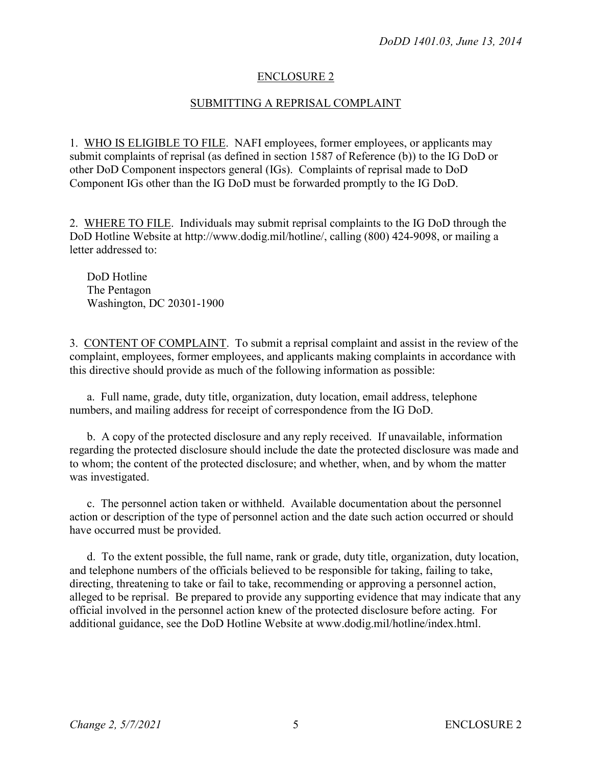#### ENCLOSURE 2

#### SUBMITTING A REPRISAL COMPLAINT

1. WHO IS ELIGIBLE TO FILE. NAFI employees, former employees, or applicants may submit complaints of reprisal (as defined in section 1587 of Reference (b)) to the IG DoD or other DoD Component inspectors general (IGs). Complaints of reprisal made to DoD Component IGs other than the IG DoD must be forwarded promptly to the IG DoD.

2. WHERE TO FILE. Individuals may submit reprisal complaints to the IG DoD through the DoD Hotline Website at http://www.dodig.mil/hotline/, calling (800) 424-9098, or mailing a letter addressed to:

DoD Hotline The Pentagon Washington, DC 20301-1900

3. CONTENT OF COMPLAINT. To submit a reprisal complaint and assist in the review of the complaint, employees, former employees, and applicants making complaints in accordance with this directive should provide as much of the following information as possible:

a. Full name, grade, duty title, organization, duty location, email address, telephone numbers, and mailing address for receipt of correspondence from the IG DoD.

b. A copy of the protected disclosure and any reply received. If unavailable, information regarding the protected disclosure should include the date the protected disclosure was made and to whom; the content of the protected disclosure; and whether, when, and by whom the matter was investigated.

c. The personnel action taken or withheld. Available documentation about the personnel action or description of the type of personnel action and the date such action occurred or should have occurred must be provided.

d. To the extent possible, the full name, rank or grade, duty title, organization, duty location, and telephone numbers of the officials believed to be responsible for taking, failing to take, directing, threatening to take or fail to take, recommending or approving a personnel action, alleged to be reprisal. Be prepared to provide any supporting evidence that may indicate that any official involved in the personnel action knew of the protected disclosure before acting. For additional guidance, see the DoD Hotline Website at www.dodig.mil/hotline/index.html.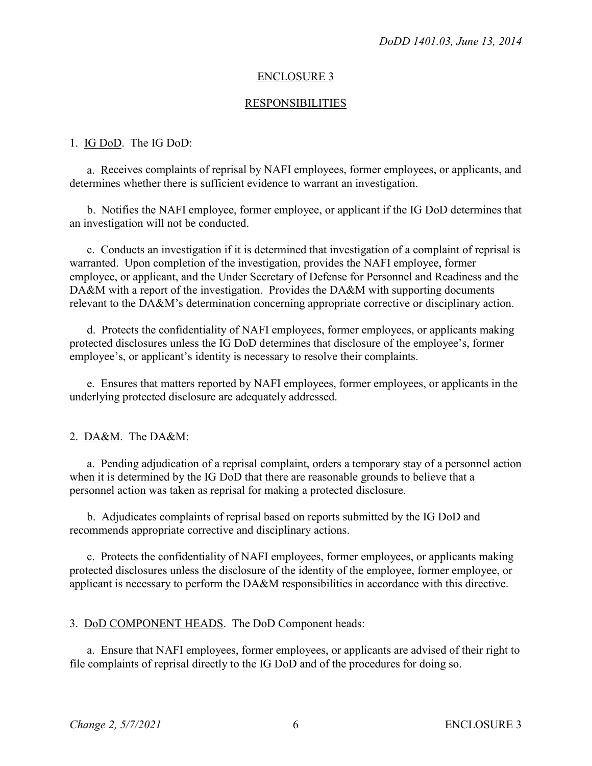#### ENCLOSURE 3

#### RESPONSIBILITIES

#### 1. IG DoD. The IG DoD:

a. Receives complaints of reprisal by NAFI employees, former employees, or applicants, and determines whether there is sufficient evidence to warrant an investigation.

b. Notifies the NAFI employee, former employee, or applicant if the IG DoD determines that an investigation will not be conducted.

c. Conducts an investigation if it is determined that investigation of a complaint of reprisal is warranted. Upon completion of the investigation, provides the NAFI employee, former employee, or applicant, and the Under Secretary of Defense for Personnel and Readiness and the DA&M with a report of the investigation. Provides the DA&M with supporting documents relevant to the DA&M's determination concerning appropriate corrective or disciplinary action.

d. Protects the confidentiality of NAFI employees, former employees, or applicants making protected disclosures unless the IG DoD determines that disclosure of the employee's, former employee's, or applicant's identity is necessary to resolve their complaints.

e. Ensures that matters reported by NAFI employees, former employees, or applicants in the underlying protected disclosure are adequately addressed.

2. DA&M. The DA&M:

a. Pending adjudication of a reprisal complaint, orders a temporary stay of a personnel action when it is determined by the IG DoD that there are reasonable grounds to believe that a personnel action was taken as reprisal for making a protected disclosure.

b. Adjudicates complaints of reprisal based on reports submitted by the IG DoD and recommends appropriate corrective and disciplinary actions.

c. Protects the confidentiality of NAFI employees, former employees, or applicants making protected disclosures unless the disclosure of the identity of the employee, former employee, or applicant is necessary to perform the DA&M responsibilities in accordance with this directive.

3. DoD COMPONENT HEADS. The DoD Component heads:

a. Ensure that NAFI employees, former employees, or applicants are advised of their right to file complaints of reprisal directly to the IG DoD and of the procedures for doing so.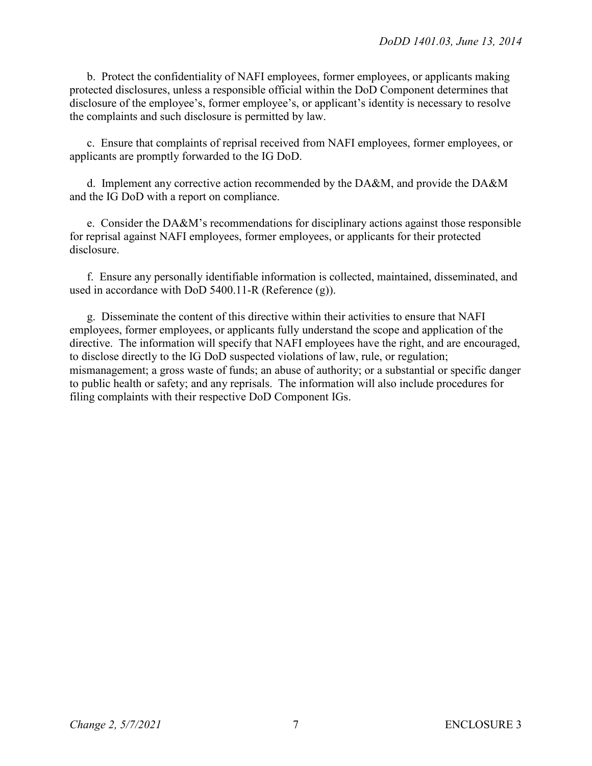b. Protect the confidentiality of NAFI employees, former employees, or applicants making protected disclosures, unless a responsible official within the DoD Component determines that disclosure of the employee's, former employee's, or applicant's identity is necessary to resolve the complaints and such disclosure is permitted by law.

c. Ensure that complaints of reprisal received from NAFI employees, former employees, or applicants are promptly forwarded to the IG DoD.

d. Implement any corrective action recommended by the DA&M, and provide the DA&M and the IG DoD with a report on compliance.

e. Consider the DA&M's recommendations for disciplinary actions against those responsible for reprisal against NAFI employees, former employees, or applicants for their protected disclosure.

f. Ensure any personally identifiable information is collected, maintained, disseminated, and used in accordance with DoD 5400.11-R (Reference (g)).

g. Disseminate the content of this directive within their activities to ensure that NAFI employees, former employees, or applicants fully understand the scope and application of the directive. The information will specify that NAFI employees have the right, and are encouraged, to disclose directly to the IG DoD suspected violations of law, rule, or regulation; mismanagement; a gross waste of funds; an abuse of authority; or a substantial or specific danger to public health or safety; and any reprisals. The information will also include procedures for filing complaints with their respective DoD Component IGs.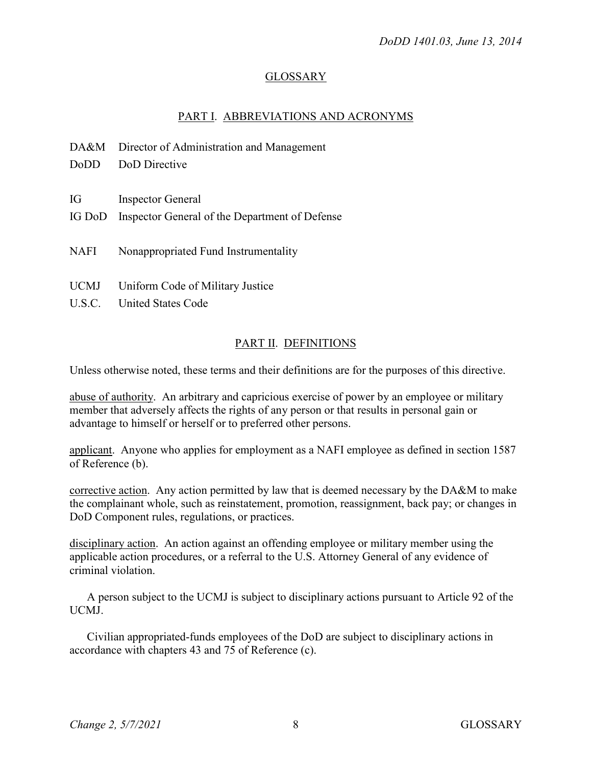## GLOSSARY

## PART I. ABBREVIATIONS AND ACRONYMS

|             | DA&M Director of Administration and Management        |
|-------------|-------------------------------------------------------|
| DoDD        | DoD Directive                                         |
|             |                                                       |
| IG          | <b>Inspector General</b>                              |
|             | IG DoD Inspector General of the Department of Defense |
|             |                                                       |
| NAFI        | Nonappropriated Fund Instrumentality                  |
|             |                                                       |
| <b>UCMJ</b> | Uniform Code of Military Justice                      |
|             | U.S.C. United States Code                             |
|             |                                                       |

# PART II. DEFINITIONS

Unless otherwise noted, these terms and their definitions are for the purposes of this directive.

abuse of authority. An arbitrary and capricious exercise of power by an employee or military member that adversely affects the rights of any person or that results in personal gain or advantage to himself or herself or to preferred other persons.

applicant. Anyone who applies for employment as a NAFI employee as defined in section 1587 of Reference (b).

corrective action. Any action permitted by law that is deemed necessary by the DA&M to make the complainant whole, such as reinstatement, promotion, reassignment, back pay; or changes in DoD Component rules, regulations, or practices.

disciplinary action. An action against an offending employee or military member using the applicable action procedures, or a referral to the U.S. Attorney General of any evidence of criminal violation.

A person subject to the UCMJ is subject to disciplinary actions pursuant to Article 92 of the UCMJ.

Civilian appropriated-funds employees of the DoD are subject to disciplinary actions in accordance with chapters 43 and 75 of Reference (c).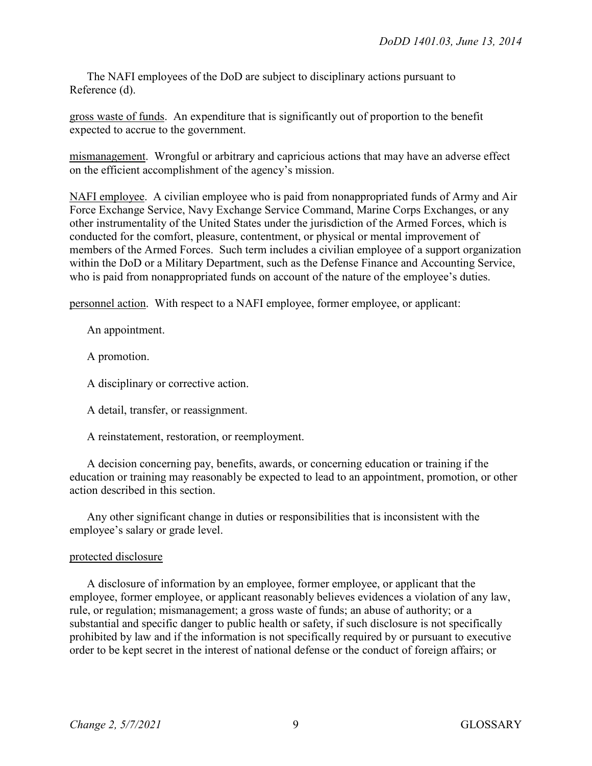The NAFI employees of the DoD are subject to disciplinary actions pursuant to Reference (d).

gross waste of funds. An expenditure that is significantly out of proportion to the benefit expected to accrue to the government.

mismanagement. Wrongful or arbitrary and capricious actions that may have an adverse effect on the efficient accomplishment of the agency's mission.

NAFI employee. A civilian employee who is paid from nonappropriated funds of Army and Air Force Exchange Service, Navy Exchange Service Command, Marine Corps Exchanges, or any other instrumentality of the United States under the jurisdiction of the Armed Forces, which is conducted for the comfort, pleasure, contentment, or physical or mental improvement of members of the Armed Forces. Such term includes a civilian employee of a support organization within the DoD or a Military Department, such as the Defense Finance and Accounting Service, who is paid from nonappropriated funds on account of the nature of the employee's duties.

personnel action. With respect to a NAFI employee, former employee, or applicant:

An appointment.

A promotion.

A disciplinary or corrective action.

A detail, transfer, or reassignment.

A reinstatement, restoration, or reemployment.

A decision concerning pay, benefits, awards, or concerning education or training if the education or training may reasonably be expected to lead to an appointment, promotion, or other action described in this section.

Any other significant change in duties or responsibilities that is inconsistent with the employee's salary or grade level.

## protected disclosure

A disclosure of information by an employee, former employee, or applicant that the employee, former employee, or applicant reasonably believes evidences a violation of any law, rule, or regulation; mismanagement; a gross waste of funds; an abuse of authority; or a substantial and specific danger to public health or safety, if such disclosure is not specifically prohibited by law and if the information is not specifically required by or pursuant to executive order to be kept secret in the interest of national defense or the conduct of foreign affairs; or